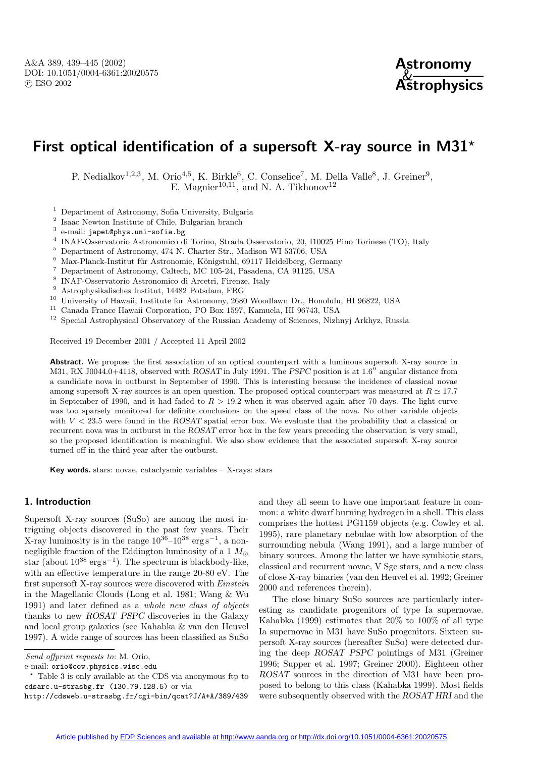

# **First optical identification of a supersoft X-ray source in M31***?*

P. Nedialkov<sup>1,2,3</sup>, M. Orio<sup>4,5</sup>, K. Birkle<sup>6</sup>, C. Conselice<sup>7</sup>, M. Della Valle<sup>8</sup>, J. Greiner<sup>9</sup>, E. Magnier<sup>10,11</sup>, and N. A. Tikhonov<sup>12</sup>

<sup>1</sup> Department of Astronomy, Sofia University, Bulgaria

<sup>2</sup> Isaac Newton Institute of Chile, Bulgarian branch

- <sup>3</sup> e-mail: japet@phys.uni-sofia.bg
- <sup>4</sup> INAF-Osservatorio Astronomico di Torino, Strada Osservatorio, 20, I10025 Pino Torinese (TO), Italy
- $^5\,$  Department of Astronomy, 474 N. Charter Str., Madison WI 53706, USA
- $^6\,$  Max-Planck-Institut für Astronomie, Königstuhl, 69117 Heidelberg, Germany
- $^7\,$  Department of Astronomy, Caltech, MC 105-24, Pasadena, CA 91125, USA
- <sup>8</sup> INAF-Osservatorio Astronomico di Arcetri, Firenze, Italy
- $^9\,$  Astrophysikalisches Institut, 14482 Potsdam, FRG
- <sup>10</sup> University of Hawaii, Institute for Astronomy, 2680 Woodlawn Dr., Honolulu, HI 96822, USA
- <sup>11</sup> Canada France Hawaii Corporation, PO Box 1597, Kamuela, HI 96743, USA
- <sup>12</sup> Special Astrophysical Observatory of the Russian Academy of Sciences, Nizhnyj Arkhyz, Russia

Received 19 December 2001 / Accepted 11 April 2002

**Abstract.** We propose the first association of an optical counterpart with a luminous supersoft X-ray source in M31, RX J0044.0+4118, observed with *ROSAT* in July 1991. The *PSPC* position is at 1.6<sup>"</sup> angular distance from a candidate nova in outburst in September of 1990. This is interesting because the incidence of classical novae among supersoft X-ray sources is an open question. The proposed optical counterpart was measured at  $R \simeq 17.7$ in September of 1990, and it had faded to  $R > 19.2$  when it was observed again after 70 days. The light curve was too sparsely monitored for definite conclusions on the speed class of the nova. No other variable objects with  $V < 23.5$  were found in the *ROSAT* spatial error box. We evaluate that the probability that a classical or recurrent nova was in outburst in the *ROSAT* error box in the few years preceding the observation is very small, so the proposed identification is meaningful. We also show evidence that the associated supersoft X-ray source turned off in the third year after the outburst.

**Key words.** stars: novae, cataclysmic variables – X-rays: stars

#### **1. Introduction**

Supersoft X-ray sources (SuSo) are among the most intriguing objects discovered in the past few years. Their X-ray luminosity is in the range  $10^{36}-10^{38}$  erg s<sup>-1</sup>, a nonnegligible fraction of the Eddington luminosity of a 1  $M_{\odot}$ star (about  $10^{38} \text{ erg s}^{-1}$ ). The spectrum is blackbody-like, with an effective temperature in the range 20-80 eV. The first supersoft X-ray sources were discovered with Einstein in the Magellanic Clouds (Long et al. 1981; Wang & Wu 1991) and later defined as a whole new class of objects thanks to new *ROSAT PSPC* discoveries in the Galaxy and local group galaxies (see Kahabka & van den Heuvel 1997). A wide range of sources has been classified as SuSo

e-mail: orio@cow.physics.wisc.edu

? Table 3 is only available at the CDS via anonymous ftp to cdsarc.u-strasbg.fr (130.79.128.5) or via

and they all seem to have one important feature in common: a white dwarf burning hydrogen in a shell. This class comprises the hottest PG1159 objects (e.g. Cowley et al. 1995), rare planetary nebulae with low absorption of the surrounding nebula (Wang 1991), and a large number of binary sources. Among the latter we have symbiotic stars, classical and recurrent novae, V Sge stars, and a new class of close X-ray binaries (van den Heuvel et al. 1992; Greiner 2000 and references therein).

The close binary SuSo sources are particularly interesting as candidate progenitors of type Ia supernovae. Kahabka (1999) estimates that 20% to 100% of all type Ia supernovae in M31 have SuSo progenitors. Sixteen supersoft X-ray sources (hereafter SuSo) were detected during the deep *ROSAT PSPC* pointings of M31 (Greiner 1996; Supper et al. 1997; Greiner 2000). Eighteen other *ROSAT* sources in the direction of M31 have been proposed to belong to this class (Kahabka 1999). Most fields were subsequently observed with the *ROSAT HRI* and the

Send offprint requests to: M. Orio,

http://cdsweb.u-strasbg.fr/cgi-bin/qcat?J/A+A/389/439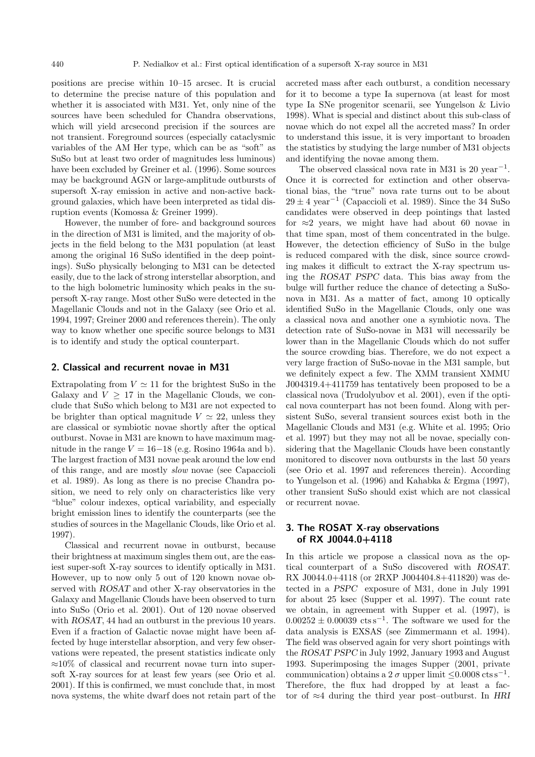positions are precise within 10–15 arcsec. It is crucial to determine the precise nature of this population and whether it is associated with M31. Yet, only nine of the sources have been scheduled for Chandra observations. which will yield arcsecond precision if the sources are not transient. Foreground sources (especially cataclysmic variables of the AM Her type, which can be as "soft" as SuSo but at least two order of magnitudes less luminous) have been excluded by Greiner et al. (1996). Some sources may be background AGN or large-amplitude outbursts of supersoft X-ray emission in active and non-active background galaxies, which have been interpreted as tidal disruption events (Komossa & Greiner 1999).

However, the number of fore- and background sources in the direction of M31 is limited, and the majority of objects in the field belong to the M31 population (at least among the original 16 SuSo identified in the deep pointings). SuSo physically belonging to M31 can be detected easily, due to the lack of strong interstellar absorption, and to the high bolometric luminosity which peaks in the supersoft X-ray range. Most other SuSo were detected in the Magellanic Clouds and not in the Galaxy (see Orio et al. 1994, 1997; Greiner 2000 and references therein). The only way to know whether one specific source belongs to M31 is to identify and study the optical counterpart.

#### **2. Classical and recurrent novae in M31**

Extrapolating from  $V \simeq 11$  for the brightest SuSo in the Galaxy and  $V > 17$  in the Magellanic Clouds, we conclude that SuSo which belong to M31 are not expected to be brighter than optical magnitude  $V \approx 22$ , unless they are classical or symbiotic novae shortly after the optical outburst. Novae in M31 are known to have maximum magnitude in the range  $V = 16-18$  (e.g. Rosino 1964a and b). The largest fraction of M31 novae peak around the low end of this range, and are mostly slow novae (see Capaccioli et al. 1989). As long as there is no precise Chandra position, we need to rely only on characteristics like very "blue" colour indexes, optical variability, and especially bright emission lines to identify the counterparts (see the studies of sources in the Magellanic Clouds, like Orio et al. 1997).

Classical and recurrent novae in outburst, because their brightness at maximum singles them out, are the easiest super-soft X-ray sources to identify optically in M31. However, up to now only 5 out of 120 known novae observed with *ROSAT* and other X-ray observatories in the Galaxy and Magellanic Clouds have been observed to turn into SuSo (Orio et al. 2001). Out of 120 novae observed with *ROSAT*, 44 had an outburst in the previous 10 years. Even if a fraction of Galactic novae might have been affected by huge interstellar absorption, and very few observations were repeated, the present statistics indicate only ≈10% of classical and recurrent novae turn into supersoft X-ray sources for at least few years (see Orio et al. 2001). If this is confirmed, we must conclude that, in most nova systems, the white dwarf does not retain part of the accreted mass after each outburst, a condition necessary for it to become a type Ia supernova (at least for most type Ia SNe progenitor scenarii, see Yungelson & Livio 1998). What is special and distinct about this sub-class of novae which do not expel all the accreted mass? In order to understand this issue, it is very important to broaden the statistics by studying the large number of M31 objects and identifying the novae among them.

The observed classical nova rate in M31 is 20 year<sup>-1</sup>. Once it is corrected for extinction and other observational bias, the "true" nova rate turns out to be about  $29 \pm 4$  year<sup>-1</sup> (Capaccioli et al. 1989). Since the 34 SuSo candidates were observed in deep pointings that lasted for  $\approx$ 2 years, we might have had about 60 novae in that time span, most of them concentrated in the bulge. However, the detection efficiency of SuSo in the bulge is reduced compared with the disk, since source crowding makes it difficult to extract the X-ray spectrum using the *ROSAT PSPC* data. This bias away from the bulge will further reduce the chance of detecting a SuSonova in M31. As a matter of fact, among 10 optically identified SuSo in the Magellanic Clouds, only one was a classical nova and another one a symbiotic nova. The detection rate of SuSo-novae in M31 will necessarily be lower than in the Magellanic Clouds which do not suffer the source crowding bias. Therefore, we do not expect a very large fraction of SuSo-novae in the M31 sample, but we definitely expect a few. The XMM transient XMMU J004319.4+411759 has tentatively been proposed to be a classical nova (Trudolyubov et al. 2001), even if the optical nova counterpart has not been found. Along with persistent SuSo, several transient sources exist both in the Magellanic Clouds and M31 (e.g. White et al. 1995; Orio et al. 1997) but they may not all be novae, specially considering that the Magellanic Clouds have been constantly monitored to discover nova outbursts in the last 50 years (see Orio et al. 1997 and references therein). According to Yungelson et al. (1996) and Kahabka & Ergma (1997), other transient SuSo should exist which are not classical or recurrent novae.

# **3. The ROSAT X-ray observations of RX J0044.0+4118**

In this article we propose a classical nova as the optical counterpart of a SuSo discovered with *ROSAT*. RX J0044.0+4118 (or 2RXP J004404.8+411820) was detected in a *PSPC* exposure of M31, done in July 1991 for about 25 ksec (Supper et al. 1997). The count rate we obtain, in agreement with Supper et al. (1997), is  $0.00252 \pm 0.00039$  cts s<sup>-1</sup>. The software we used for the data analysis is EXSAS (see Zimmermann et al. 1994). The field was observed again for very short pointings with the *ROSAT PSPC* in July 1992, January 1993 and August 1993. Superimposing the images Supper (2001, private communication) obtains a 2  $\sigma$  upper limit  $\leq 0.0008 \text{ cts s}^{-1}$ . Therefore, the flux had dropped by at least a factor of ≈4 during the third year post–outburst. In *HRI*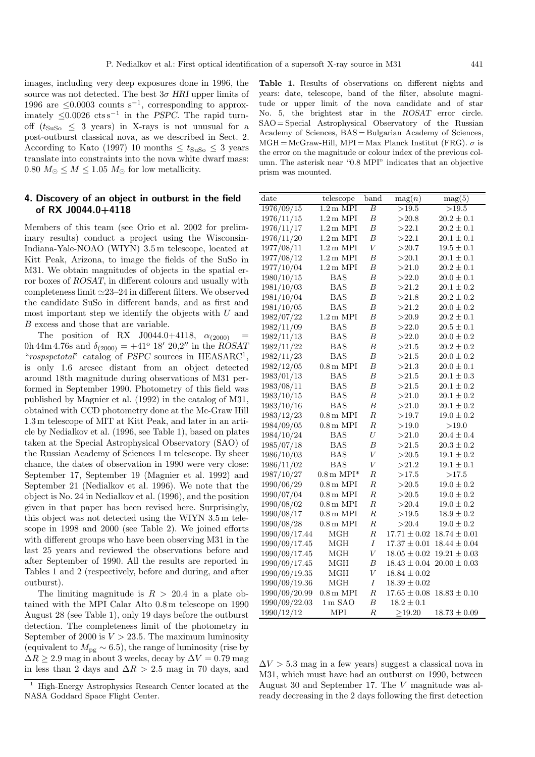images, including very deep exposures done in 1996, the source was not detected. The best  $3\sigma$  *HRI* upper limits of 1996 are  $\leq 0.0003$  counts s<sup>-1</sup>, corresponding to approximately  $≤0.0026 \text{ cts s}^{-1}$  in the *PSPC*. The rapid turnoff  $(t_{\text{SUSo}} \leq 3 \text{ years})$  in X-rays is not unusual for a post-outburst classical nova, as we described in Sect. 2. According to Kato (1997) 10 months  $\leq t_{\text{SUSO}} \leq 3$  years translate into constraints into the nova white dwarf mass: 0.80  $M_{\odot} \leq M \leq 1.05$   $M_{\odot}$  for low metallicity.

# **4. Discovery of an object in outburst in the field of RX J0044.0+4118**

Members of this team (see Orio et al. 2002 for preliminary results) conduct a project using the Wisconsin-Indiana-Yale-NOAO (WIYN) 3.5 m telescope, located at Kitt Peak, Arizona, to image the fields of the SuSo in M31. We obtain magnitudes of objects in the spatial error boxes of *ROSAT*, in different colours and usually with completeness limit  $\simeq 23-24$  in different filters. We observed the candidate SuSo in different bands, and as first and most important step we identify the objects with  $U$  and B excess and those that are variable.

The position of RX J0044.0+4118,  $\alpha_{(2000)}$ 0h 44m 4.76s and  $\delta_{(2000)} = +41^{\circ} 18' 20.2''$  in the *ROSAT* "rospspctotal" catalog of *PSPC* sources in HEASARC<sup>1</sup>, is only 1.6 arcsec distant from an object detected around 18th magnitude during observations of M31 performed in September 1990. Photometry of this field was published by Magnier et al. (1992) in the catalog of M31, obtained with CCD photometry done at the Mc-Graw Hill 1.3 m telescope of MIT at Kitt Peak, and later in an article by Nedialkov et al. (1996, see Table 1), based on plates taken at the Special Astrophysical Observatory (SAO) of the Russian Academy of Sciences 1 m telescope. By sheer chance, the dates of observation in 1990 were very close: September 17, September 19 (Magnier et al. 1992) and September 21 (Nedialkov et al. 1996). We note that the object is No. 24 in Nedialkov et al. (1996), and the position given in that paper has been revised here. Surprisingly, this object was not detected using the WIYN 3.5 m telescope in 1998 and 2000 (see Table 2). We joined efforts with different groups who have been observing M31 in the last 25 years and reviewed the observations before and after September of 1990. All the results are reported in Tables 1 and 2 (respectively, before and during, and after outburst).

The limiting magnitude is  $R > 20.4$  in a plate obtained with the MPI Calar Alto 0.8 m telescope on 1990 August 28 (see Table 1), only 19 days before the outburst detection. The completeness limit of the photometry in September of 2000 is  $V > 23.5$ . The maximum luminosity (equivalent to  $M_{\text{pg}} \sim 6.5$ ), the range of luminosity (rise by  $\Delta R \geq 2.9$  mag in about 3 weeks, decay by  $\Delta V = 0.79$  mag in less than 2 days and  $\Delta R > 2.5$  mag in 70 days, and

**Table 1.** Results of observations on different nights and years: date, telescope, band of the filter, absolute magnitude or upper limit of the nova candidate and of star No. 5, the brightest star in the *ROSAT* error circle. SAO = Special Astrophysical Observatory of the Russian Academy of Sciences, BAS = Bulgarian Academy of Sciences,  $MGH = McGraw-Hill$ ,  $MPI = Max Planck Institute (FRG)$ .  $\sigma$  is the error on the magnitude or colour index of the previous column. The asterisk near "0.8 MPI" indicates that an objective prism was mounted.

| $_{\rm date}$ | telescope                   | band             | $\mathrm{mag}(n)$ | mag(5)           |
|---------------|-----------------------------|------------------|-------------------|------------------|
| 1976/09/15    | $1.2 \text{ m}$ MPI         | $\overline{B}$   | >19.5             | >19.5            |
| 1976/11/15    | $1.2 \text{ m } \text{MPI}$ | $\boldsymbol{B}$ | >20.8             | $20.2 \pm 0.1$   |
| 1976/11/17    | $1.2\,\mathrm{m}$ MPI       | $\overline{B}$   | >22.1             | $20.2 \pm 0.1$   |
| 1976/11/20    | $1.2\,\mathrm{m}$ MPI       | $\boldsymbol{B}$ | >22.1             | $20.1\pm0.1$     |
| 1977/08/11    | $1.2 \text{ m}$ MPI         | $\bar{V}$        | >20.7             | $19.5 \pm 0.1$   |
| 1977/08/12    | $1.2 \text{ m}$ MPI         | $\boldsymbol{B}$ | >20.1             | $20.1 \pm 0.1$   |
| 1977/10/04    | $1.2 \text{ m } \text{MPI}$ | $\boldsymbol{B}$ | >21.0             | $20.2 \pm 0.1$   |
| 1980/10/15    | BAS                         | $\boldsymbol{B}$ | >22.0             | $20.0 \pm 0.1$   |
| 1981/10/03    | <b>BAS</b>                  | $\boldsymbol{B}$ | >21.2             | $20.1 \pm 0.2$   |
| 1981/10/04    | <b>BAS</b>                  | $\boldsymbol{B}$ | >21.8             | $20.2 \pm 0.2$   |
| 1981/10/05    | <b>BAS</b>                  | $\boldsymbol{B}$ | >21.2             | $20.0\pm0.2$     |
| 1982/07/22    | $1.2 \text{ m}$ MPI         | $\overline{B}$   | >20.9             | $20.2 \pm 0.1$   |
| 1982/11/09    | <b>BAS</b>                  | $\boldsymbol{B}$ | >22.0             | $20.5 \pm 0.1$   |
| 1982/11/13    | BAS                         | $\boldsymbol{B}$ | >22.0             | $20.0 \pm 0.2$   |
| 1982/11/22    | <b>BAS</b>                  | $\boldsymbol{B}$ | $> \!\! 21.5$     | $20.2 \pm 0.2$   |
| 1982/11/23    | <b>BAS</b>                  | $\overline{B}$   | $> \!\! 21.5$     | $20.0\pm0.2$     |
| 1982/12/05    | $0.8\,\mathrm{m}$ MPI       | $\overline{B}$   | >21.3             | $20.0 \pm 0.1$   |
| 1983/01/13    | <b>BAS</b>                  | $\boldsymbol{B}$ | >21.5             | $20.1 \pm 0.3$   |
| 1983/08/11    | <b>BAS</b>                  | $\boldsymbol{B}$ | >21.5             | $20.1 \pm 0.2$   |
| 1983/10/15    | <b>BAS</b>                  | $\boldsymbol{B}$ | >21.0             | $20.1 \pm 0.2$   |
| 1983/10/16    | BAS                         | $\boldsymbol{B}$ | >21.0             | $20.1 \pm 0.2$   |
| 1983/12/23    | $0.8 \text{ m}$ MPI         | $\overline{R}$   | $>\!\!19.7$       | $19.0 \pm 0.2$   |
| 1984/09/05    | $0.8\,\mathrm{m}$ MPI       | $_{\it R}$       | >19.0             | >19.0            |
| 1984/10/24    | <b>BAS</b>                  | $\boldsymbol{U}$ | >21.0             | $20.4 \pm 0.4$   |
| 1985/07/18    | <b>BAS</b>                  | $\boldsymbol{B}$ | >21.5             | $20.3 \pm 0.2$   |
| 1986/10/03    | <b>BAS</b>                  | V                | >20.5             | $19.1 \pm 0.2$   |
| 1986/11/02    | <b>BAS</b>                  | $\bar{V}$        | >21.2             | $19.1 \pm 0.1$   |
| 1987/10/27    | $0.8 \,\mathrm{m}$ MPI*     | $\boldsymbol{R}$ | $>\!\!17.5$       | $>\!\!17.5$      |
| 1990/06/29    | $0.8\,\mathrm{m}$ MPI       | $\boldsymbol{R}$ | >20.5             | $19.0\pm0.2$     |
| 1990/07/04    | $0.8\,\mathrm{m}$ MPI       | $\boldsymbol{R}$ | >20.5             | $19.0\pm0.2$     |
| 1990/08/02    | $0.8 \text{ m}$ MPI         | $\overline{R}$   | >20.4             | $19.0\pm0.2$     |
| 1990/08/17    | $0.8 \text{ m}$ MPI         | $\boldsymbol{R}$ | >19.5             | $18.9 \pm 0.2$   |
| 1990/08/28    | $0.8 \text{ m}$ MPI         | $\boldsymbol{R}$ | >20.4             | $19.0 \pm 0.2$   |
| 1990/09/17.44 | MGH                         | $\boldsymbol{R}$ | $17.71 \pm 0.02$  | $18.74 \pm 0.01$ |
| 1990/09/17.45 | MGH                         | I                | $17.37\pm0.01$    | $18.44 \pm 0.04$ |
| 1990/09/17.45 | MGH                         | $\bar{V}$        | $18.05\pm0.02$    | $19.21\pm0.03$   |
| 1990/09/17.45 | MGH                         | $\boldsymbol{B}$ | $18.43\pm0.04$    | $20.00\pm0.03$   |
| 1990/09/19.35 | MGH                         | $\bar{V}$        | $18.84 \pm 0.02$  |                  |
| 1990/09/19.36 | MGH                         | $\cal I$         | $18.39\pm0.02$    |                  |
| 1990/09/20.99 | $0.8\,\mathrm{m}$ MPI       | $\boldsymbol{R}$ | $17.65 \pm 0.08$  | $18.83 \pm 0.10$ |
| 1990/09/22.03 | $1 m$ SAO                   | $\boldsymbol{B}$ | $18.2 \pm 0.1$    |                  |
| 1990/12/12    | <b>MPI</b>                  | R                | $\geq$ 19.20      | $18.73 \pm 0.09$ |

 $\Delta V > 5.3$  mag in a few years) suggest a classical nova in M31, which must have had an outburst on 1990, between August 30 and September 17. The V magnitude was already decreasing in the 2 days following the first detection

<sup>1</sup> High-Energy Astrophysics Research Center located at the NASA Goddard Space Flight Center.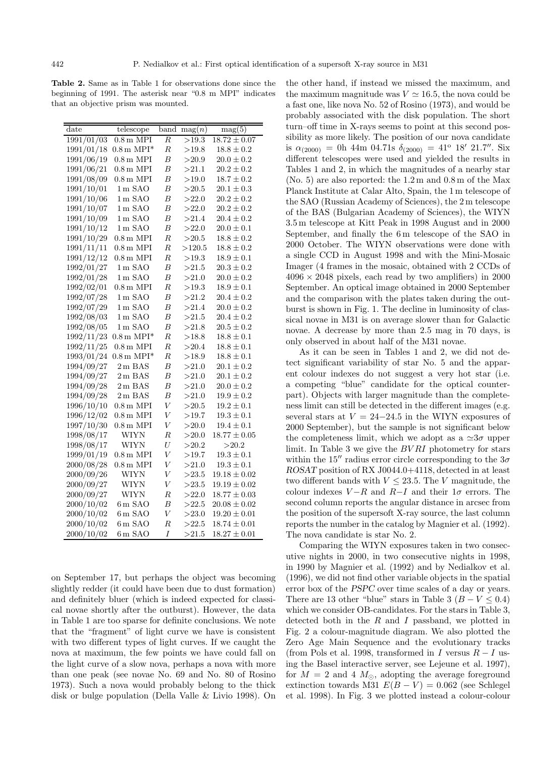**Table 2.** Same as in Table 1 for observations done since the beginning of 1991. The asterisk near "0.8 m MPI" indicates that an objective prism was mounted.

| $_{\rm date}$ | telescope               | band             | $\mathrm{mag}(n)$ | mag(5)           |
|---------------|-------------------------|------------------|-------------------|------------------|
| 1991/01/03    | $0.8\,\mathrm{m}$ MPI   | $\overline{R}$   | >19.3             | $18.72 \pm 0.07$ |
| 1991/01/18    | $0.8 \,\mathrm{m}$ MPI* | $\boldsymbol{R}$ | >19.8             | $18.8 \pm 0.2$   |
| 1991/06/19    | $0.8\,\mathrm{m}$ MPI   | $\boldsymbol{B}$ | >20.9             | $20.0 \pm 0.2$   |
| 1991/06/21    | $0.8\,\mathrm{m}$ MPI   | $\boldsymbol{B}$ | >21.1             | $20.2 \pm 0.2$   |
| 1991/08/09    | $0.8\,\mathrm{m}$ MPI   | $\overline{B}$   | >19.0             | $18.7 \pm 0.2$   |
| 1991/10/01    | $1m$ SAO                | $\boldsymbol{B}$ | >20.5             | $20.1 \pm 0.3$   |
| 1991/10/06    | $1m$ SAO                | $\boldsymbol{B}$ | >22.0             | $20.2 \pm 0.2$   |
| 1991/10/07    | $1m$ SAO                | В                | >22.0             | $20.2 \pm 0.2$   |
| 1991/10/09    | $1m$ SAO                | $\boldsymbol{B}$ | >21.4             | $20.4 \pm 0.2$   |
| 1991/10/12    | $1m$ SAO                | $\boldsymbol{B}$ | >22.0             | $20.0 \pm 0.1$   |
| 1991/10/29    | $0.8 \,\mathrm{m}$ MPI  | $_{\it R}$       | >20.5             | $18.8 \pm 0.2$   |
| 1991/11/11    | $0.8\,\mathrm{m}$ MPI   | $\boldsymbol{R}$ | >120.5            | $18.8 \pm 0.2$   |
| 1991/12/12    | $0.8 \,\mathrm{m}$ MPI  | $\boldsymbol{R}$ | >19.3             | $18.9\pm0.1$     |
| 1992/01/27    | $1\,\mathrm{m}$ SAO     | $\overline{B}$   | >21.5             | $20.3 \pm 0.2$   |
| 1992/01/28    | $1m$ SAO                | $\boldsymbol{B}$ | >21.0             | $20.0 \pm 0.2$   |
| 1992/02/01    | $0.8\,\mathrm{m}$ MPI   | $\boldsymbol{R}$ | >19.3             | $18.9 \pm 0.1$   |
| 1992/07/28    | $1m$ SAO                | $\boldsymbol{B}$ | >21.2             | $20.4 \pm 0.2$   |
| 1992/07/29    | $1m$ SAO                | $\boldsymbol{B}$ | >21.4             | $20.0 \pm 0.2$   |
| 1992/08/03    | $1m$ SAO                | $\boldsymbol{B}$ | >21.5             | $20.4 \pm 0.2$   |
| 1992/08/05    | $1m$ SAO                | $\boldsymbol{B}$ | >21.8             | $20.5\pm0.2$     |
| 1992/11/23    | $0.8 \,\mathrm{m}$ MPI* | $\boldsymbol{R}$ | >18.8             | $18.8 \pm 0.1$   |
| 1992/11/25    | $0.8 \text{ m}$ MPI     | $_{R}$           | >20.4             | $18.8\pm0.1$     |
| 1993/01/24    | $0.8 \,\mathrm{m}$ MPI* | $\overline{R}$   | >18.9             | $18.8 \pm 0.1$   |
| 1994/09/27    | $2\,\mathrm{m}$ BAS     | B                | >21.0             | $20.1 \pm 0.2$   |
| 1994/09/27    | $2\,\mathrm{m}$ BAS     | $\boldsymbol{B}$ | >21.0             | $20.1 \pm 0.2$   |
| 1994/09/28    | $2\,\mathrm{m}$ BAS     | $\overline{B}$   | >21.0             | $20.0 \pm 0.2$   |
| 1994/09/28    | $2\,\mathrm{m}$ BAS     | $\overline{B}$   | >21.0             | $19.9 \pm 0.2$   |
| 1996/10/10    | $0.8\,\mathrm{m}$ MPI   | $\bar{V}$        | >20.5             | $19.2\pm0.1$     |
| 1996/12/02    | $0.8\,\mathrm{m}$ MPI   | $\bar{V}$        | >19.7             | $19.3\pm0.1$     |
| 1997/10/30    | $0.8\,\mathrm{m}$ MPI   | $\bar{V}$        | >20.0             | $19.4 \pm 0.1$   |
| 1998/08/17    | <b>WIYN</b>             | $\boldsymbol{R}$ | >20.0             | $18.77 \pm 0.05$ |
| 1998/08/17    | <b>WIYN</b>             | U                | >20.2             | >20.2            |
| 1999/01/19    | $0.8\,\mathrm{m}$ MPI   | $\overline{V}$   | >19.7             | $19.3 \pm 0.1$   |
| 2000/08/28    | $0.8\,\mathrm{m}$ MPI   | $\bar{V}$        | >21.0             | $19.3 \pm 0.1$   |
| 2000/09/26    | <b>WIYN</b>             | $\bar{V}$        | >23.5             | $19.18 \pm 0.02$ |
| 2000/09/27    | WIYN                    | $\bar{V}$        | >23.5             | $19.19 \pm 0.02$ |
| 2000/09/27    | <b>WIYN</b>             | $_{\it R}$       | >22.0             | $18.77 \pm 0.03$ |
| 2000/10/02    | 6m SAO                  | В                | >22.5             | $20.08 \pm 0.02$ |
| 2000/10/02    | $6m$ SAO                | $\bar{V}$        | >23.0             | $19.20 \pm 0.01$ |
| 2000/10/02    | $6m$ SAO                | $\overline{R}$   | >22.5             | $18.74 \pm 0.01$ |
| 2000/10/02    | $6m$ SAO                | I                | >21.5             | $18.27 \pm 0.01$ |

on September 17, but perhaps the object was becoming slightly redder (it could have been due to dust formation) and definitely bluer (which is indeed expected for classical novae shortly after the outburst). However, the data in Table 1 are too sparse for definite conclusions. We note that the "fragment" of light curve we have is consistent with two different types of light curves. If we caught the nova at maximum, the few points we have could fall on the light curve of a slow nova, perhaps a nova with more than one peak (see novae No. 69 and No. 80 of Rosino 1973). Such a nova would probably belong to the thick disk or bulge population (Della Valle & Livio 1998). On the other hand, if instead we missed the maximum, and the maximum magnitude was  $V \simeq 16.5$ , the nova could be a fast one, like nova No. 52 of Rosino (1973), and would be probably associated with the disk population. The short turn–off time in X-rays seems to point at this second possibility as more likely. The position of our nova candidate is  $\alpha_{(2000)} = 0$ h 44m 04.71s  $\delta_{(2000)} = 41^{\circ}$  18' 21.7". Six different telescopes were used and yielded the results in Tables 1 and 2, in which the magnitudes of a nearby star (No. 5) are also reported: the 1.2 m and 0.8 m of the Max Planck Institute at Calar Alto, Spain, the 1 m telescope of the SAO (Russian Academy of Sciences), the 2 m telescope of the BAS (Bulgarian Academy of Sciences), the WIYN 3.5 m telescope at Kitt Peak in 1998 August and in 2000 September, and finally the 6 m telescope of the SAO in 2000 October. The WIYN observations were done with a single CCD in August 1998 and with the Mini-Mosaic Imager (4 frames in the mosaic, obtained with 2 CCDs of  $4096 \times 2048$  pixels, each read by two amplifiers) in 2000 September. An optical image obtained in 2000 September and the comparison with the plates taken during the outburst is shown in Fig. 1. The decline in luminosity of classical novae in M31 is on average slower than for Galactic novae. A decrease by more than 2.5 mag in 70 days, is only observed in about half of the M31 novae.

As it can be seen in Tables 1 and 2, we did not detect significant variability of star No. 5 and the apparent colour indexes do not suggest a very hot star (i.e. a competing "blue" candidate for the optical counterpart). Objects with larger magnitude than the completeness limit can still be detected in the different images (e.g. several stars at  $V = 24-24.5$  in the WIYN exposures of 2000 September), but the sample is not significant below the completeness limit, which we adopt as a  $\approx 3\sigma$  upper limit. In Table 3 we give the BV RI photometry for stars within the 15<sup> $\prime\prime$ </sup> radius error circle corresponding to the  $3\sigma$ *ROSAT* position of RX J0044.0+4118, detected in at least two different bands with  $V \leq 23.5$ . The V magnitude, the colour indexes  $V-R$  and  $R-I$  and their  $1\sigma$  errors. The second column reports the angular distance in arcsec from the position of the supersoft X-ray source, the last column reports the number in the catalog by Magnier et al. (1992). The nova candidate is star No. 2.

Comparing the WIYN exposures taken in two consecutive nights in 2000, in two consecutive nights in 1998, in 1990 by Magnier et al. (1992) and by Nedialkov et al. (1996), we did not find other variable objects in the spatial error box of the *PSPC* over time scales of a day or years. There are 13 other "blue" stars in Table 3  $(B - V \le 0.4)$ which we consider OB-candidates. For the stars in Table 3, detected both in the  $R$  and  $I$  passband, we plotted in Fig. 2 a colour-magnitude diagram. We also plotted the Zero Age Main Sequence and the evolutionary tracks (from Pols et al. 1998, transformed in I versus  $R - I$  using the Basel interactive server, see Lejeune et al. 1997), for  $M = 2$  and 4  $M_{\odot}$ , adopting the average foreground extinction towards M31  $E(B - V) = 0.062$  (see Schlegel et al. 1998). In Fig. 3 we plotted instead a colour-colour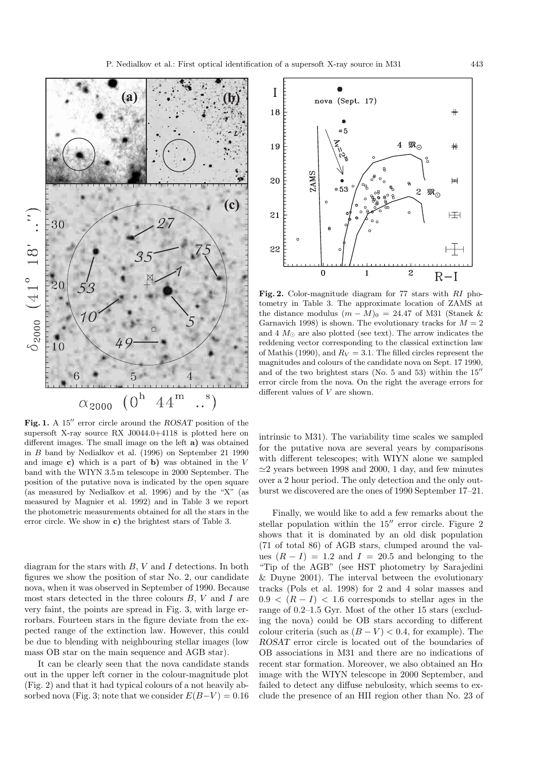

**Fig. 1.** A 15" error circle around the *ROSAT* position of the supersoft X-ray source RX J0044.0+4118 is plotted here on different images. The small image on the left **a)** was obtained in B band by Nedialkov et al. (1996) on September 21 1990 and image **c)** which is a part of **b)** was obtained in the V band with the WIYN 3.5 m telescope in 2000 September. The position of the putative nova is indicated by the open square (as measured by Nedialkov et al. 1996) and by the "X" (as measured by Magnier et al. 1992) and in Table 3 we report the photometric measurements obtained for all the stars in the error circle. We show in **c)** the brightest stars of Table 3.

diagram for the stars with  $B, V$  and I detections. In both figures we show the position of star No. 2, our candidate nova, when it was observed in September of 1990. Because most stars detected in the three colours  $B, V$  and  $I$  are very faint, the points are spread in Fig. 3, with large errorbars. Fourteen stars in the figure deviate from the expected range of the extinction law. However, this could be due to blending with neighbouring stellar images (low mass OB star on the main sequence and AGB star).

It can be clearly seen that the nova candidate stands out in the upper left corner in the colour-magnitude plot (Fig. 2) and that it had typical colours of a not heavily absorbed nova (Fig. 3; note that we consider  $E(B-V) = 0.16$ )



**Fig. 2.** Color-magnitude diagram for 77 stars with RI photometry in Table 3. The approximate location of ZAMS at the distance modulus  $(m - M)_0 = 24.47$  of M31 (Stanek & Garnavich 1998) is shown. The evolutionary tracks for  $M = 2$ and 4  $M_{\odot}$  are also plotted (see text). The arrow indicates the reddening vector corresponding to the classical extinction law of Mathis (1990), and  $R_V = 3.1$ . The filled circles represent the magnitudes and colours of the candidate nova on Sept. 17 1990, and of the two brightest stars (No. 5 and 53) within the  $15''$ error circle from the nova. On the right the average errors for different values of  $V$  are shown.

intrinsic to M31). The variability time scales we sampled for the putative nova are several years by comparisons with different telescopes; with WIYN alone we sampled  $\approx$ 2 years between 1998 and 2000, 1 day, and few minutes over a 2 hour period. The only detection and the only outburst we discovered are the ones of 1990 September 17–21.

Finally, we would like to add a few remarks about the stellar population within the  $15''$  error circle. Figure 2 shows that it is dominated by an old disk population (71 of total 86) of AGB stars, clumped around the values  $(R - I) = 1.2$  and  $I = 20.5$  and belonging to the "Tip of the AGB" (see HST photometry by Sarajedini & Duyne 2001). The interval between the evolutionary tracks (Pols et al. 1998) for 2 and 4 solar masses and  $0.9 < (R - I) < 1.6$  corresponds to stellar ages in the range of 0.2–1.5 Gyr. Most of the other 15 stars (excluding the nova) could be OB stars according to different colour criteria (such as  $(B - V) < 0.4$ , for example). The *ROSAT* error circle is located out of the boundaries of OB associations in M31 and there are no indications of recent star formation. Moreover, we also obtained an  $H\alpha$ image with the WIYN telescope in 2000 September, and failed to detect any diffuse nebulosity, which seems to exclude the presence of an HII region other than No. 23 of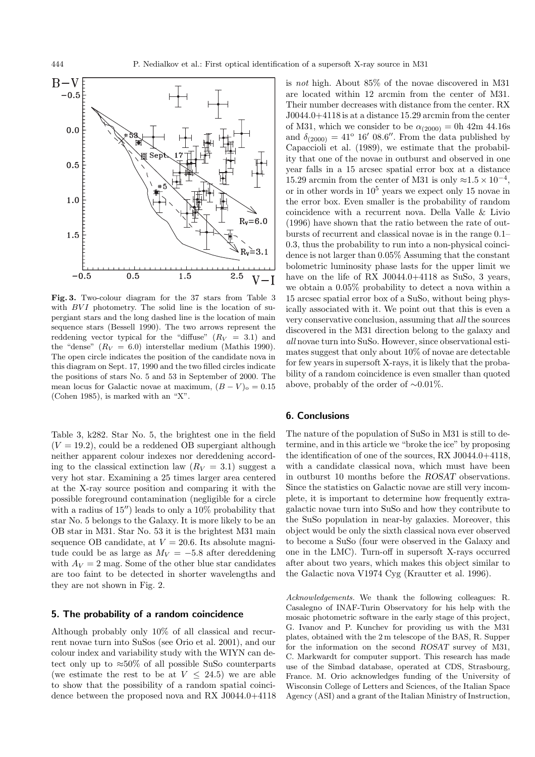

**Fig. 3.** Two-colour diagram for the 37 stars from Table 3 with  $BVI$  photometry. The solid line is the location of supergiant stars and the long dashed line is the location of main sequence stars (Bessell 1990). The two arrows represent the reddening vector typical for the "diffuse"  $(R_V = 3.1)$  and the "dense"  $(R_V = 6.0)$  interstellar medium (Mathis 1990). The open circle indicates the position of the candidate nova in this diagram on Sept. 17, 1990 and the two filled circles indicate the positions of stars No. 5 and 53 in September of 2000. The mean locus for Galactic novae at maximum,  $(B - V)_{o} = 0.15$ (Cohen 1985), is marked with an "X".

Table 3, k282. Star No. 5, the brightest one in the field  $(V = 19.2)$ , could be a reddened OB supergiant although neither apparent colour indexes nor dereddening according to the classical extinction law  $(R_V = 3.1)$  suggest a very hot star. Examining a 25 times larger area centered at the X-ray source position and comparing it with the possible foreground contamination (negligible for a circle with a radius of  $15$ <sup>"</sup>) leads to only a  $10\%$  probability that star No. 5 belongs to the Galaxy. It is more likely to be an OB star in M31. Star No. 53 it is the brightest M31 main sequence OB candidate, at  $V = 20.6$ . Its absolute magnitude could be as large as  $M_V = -5.8$  after dereddening with  $A_V = 2$  mag. Some of the other blue star candidates are too faint to be detected in shorter wavelengths and they are not shown in Fig. 2.

## **5. The probability of a random coincidence**

Although probably only 10% of all classical and recurrent novae turn into SuSos (see Orio et al. 2001), and our colour index and variability study with the WIYN can detect only up to  $\approx 50\%$  of all possible SuSo counterparts (we estimate the rest to be at  $V \leq 24.5$ ) we are able to show that the possibility of a random spatial coincidence between the proposed nova and RX J0044.0+4118 is not high. About 85% of the novae discovered in M31 are located within 12 arcmin from the center of M31. Their number decreases with distance from the center. RX J0044.0+4118 is at a distance 15.29 arcmin from the center of M31, which we consider to be  $\alpha_{(2000)} = 0h$  42m 44.16s and  $\delta_{(2000)} = 41^{\circ} 16' 08.6''.$  From the data published by Capaccioli et al. (1989), we estimate that the probability that one of the novae in outburst and observed in one year falls in a 15 arcsec spatial error box at a distance 15.29 arcmin from the center of M31 is only  $\approx$ 1.5 × 10<sup>-4</sup>, or in other words in  $10^5$  years we expect only 15 novae in the error box. Even smaller is the probability of random coincidence with a recurrent nova. Della Valle & Livio (1996) have shown that the ratio between the rate of outbursts of recurrent and classical novae is in the range 0.1– 0.3, thus the probability to run into a non-physical coincidence is not larger than 0.05% Assuming that the constant bolometric luminosity phase lasts for the upper limit we have on the life of RX J0044.0+4118 as SuSo, 3 years, we obtain a 0.05% probability to detect a nova within a 15 arcsec spatial error box of a SuSo, without being physically associated with it. We point out that this is even a very conservative conclusion, assuming that *all* the sources discovered in the M31 direction belong to the galaxy and all novae turn into SuSo. However, since observational estimates suggest that only about 10% of novae are detectable for few years in supersoft X-rays, it is likely that the probability of a random coincidence is even smaller than quoted above, probably of the order of ∼0.01%.

### **6. Conclusions**

The nature of the population of SuSo in M31 is still to determine, and in this article we "broke the ice" by proposing the identification of one of the sources, RX J0044.0+4118, with a candidate classical nova, which must have been in outburst 10 months before the *ROSAT* observations. Since the statistics on Galactic novae are still very incomplete, it is important to determine how frequently extragalactic novae turn into SuSo and how they contribute to the SuSo population in near-by galaxies. Moreover, this object would be only the sixth classical nova ever observed to become a SuSo (four were observed in the Galaxy and one in the LMC). Turn-off in supersoft X-rays occurred after about two years, which makes this object similar to the Galactic nova V1974 Cyg (Krautter et al. 1996).

Acknowledgements. We thank the following colleagues: R. Casalegno of INAF-Turin Observatory for his help with the mosaic photometric software in the early stage of this project, G. Ivanov and P. Kunchev for providing us with the M31 plates, obtained with the 2 m telescope of the BAS, R. Supper for the information on the second *ROSAT* survey of M31, C. Markwardt for computer support. This research has made use of the Simbad database, operated at CDS, Strasbourg, France. M. Orio acknowledges funding of the University of Wisconsin College of Letters and Sciences, of the Italian Space Agency (ASI) and a grant of the Italian Ministry of Instruction,